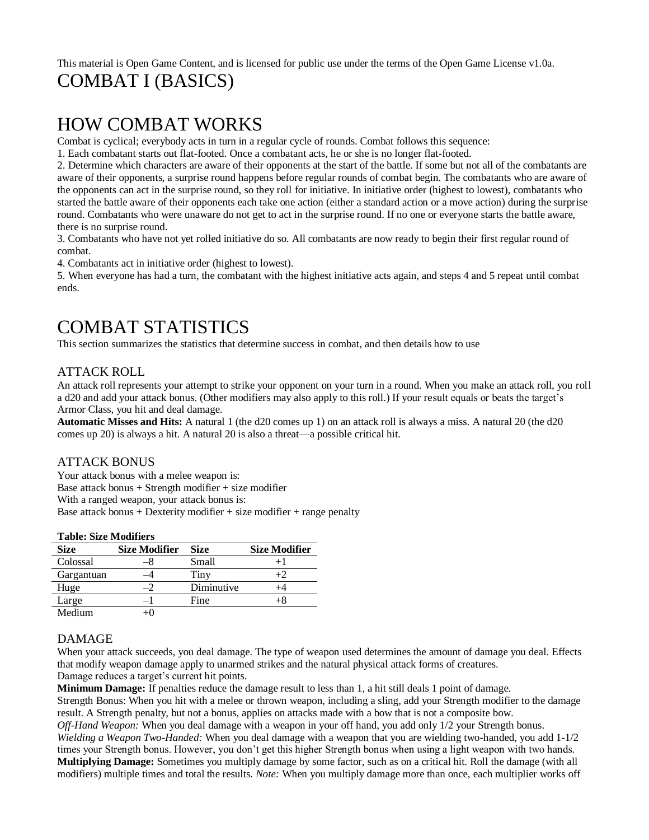## This material is Open Game Content, and is licensed for public use under the terms of the Open Game License v1.0a. COMBAT I (BASICS)

## HOW COMBAT WORKS

Combat is cyclical; everybody acts in turn in a regular cycle of rounds. Combat follows this sequence:

1. Each combatant starts out flat-footed. Once a combatant acts, he or she is no longer flat-footed.

2. Determine which characters are aware of their opponents at the start of the battle. If some but not all of the combatants are aware of their opponents, a surprise round happens before regular rounds of combat begin. The combatants who are aware of the opponents can act in the surprise round, so they roll for initiative. In initiative order (highest to lowest), combatants who started the battle aware of their opponents each take one action (either a standard action or a move action) during the surprise round. Combatants who were unaware do not get to act in the surprise round. If no one or everyone starts the battle aware, there is no surprise round.

3. Combatants who have not yet rolled initiative do so. All combatants are now ready to begin their first regular round of combat.

4. Combatants act in initiative order (highest to lowest).

5. When everyone has had a turn, the combatant with the highest initiative acts again, and steps 4 and 5 repeat until combat ends.

## COMBAT STATISTICS

This section summarizes the statistics that determine success in combat, and then details how to use

### ATTACK ROLL

An attack roll represents your attempt to strike your opponent on your turn in a round. When you make an attack roll, you roll a d20 and add your attack bonus. (Other modifiers may also apply to this roll.) If your result equals or beats the target's Armor Class, you hit and deal damage.

**Automatic Misses and Hits:** A natural 1 (the d20 comes up 1) on an attack roll is always a miss. A natural 20 (the d20 comes up 20) is always a hit. A natural 20 is also a threat—a possible critical hit.

#### ATTACK BONUS

Your attack bonus with a melee weapon is: Base attack bonus  $+$  Strength modifier  $+$  size modifier With a ranged weapon, your attack bonus is: Base attack bonus + Dexterity modifier  $+$  size modifier  $+$  range penalty

#### **Table: Size Modifiers**

| <b>Size</b> | <b>Size Modifier</b> | <b>Size</b> | <b>Size Modifier</b> |
|-------------|----------------------|-------------|----------------------|
| Colossal    |                      | Small       |                      |
| Gargantuan  |                      | Tiny        |                      |
| Huge        |                      | Diminutive  |                      |
| Large       |                      | Fine        |                      |
| Medium      |                      |             |                      |

## DAMAGE

When your attack succeeds, you deal damage. The type of weapon used determines the amount of damage you deal. Effects that modify weapon damage apply to unarmed strikes and the natural physical attack forms of creatures.

Damage reduces a target's current hit points.

**Minimum Damage:** If penalties reduce the damage result to less than 1, a hit still deals 1 point of damage.

Strength Bonus: When you hit with a melee or thrown weapon, including a sling, add your Strength modifier to the damage result. A Strength penalty, but not a bonus, applies on attacks made with a bow that is not a composite bow.

*Off-Hand Weapon:* When you deal damage with a weapon in your off hand, you add only 1/2 your Strength bonus.

*Wielding a Weapon Two-Handed:* When you deal damage with a weapon that you are wielding two-handed, you add 1-1/2 times your Strength bonus. However, you don't get this higher Strength bonus when using a light weapon with two hands. **Multiplying Damage:** Sometimes you multiply damage by some factor, such as on a critical hit. Roll the damage (with all

modifiers) multiple times and total the results. *Note:* When you multiply damage more than once, each multiplier works off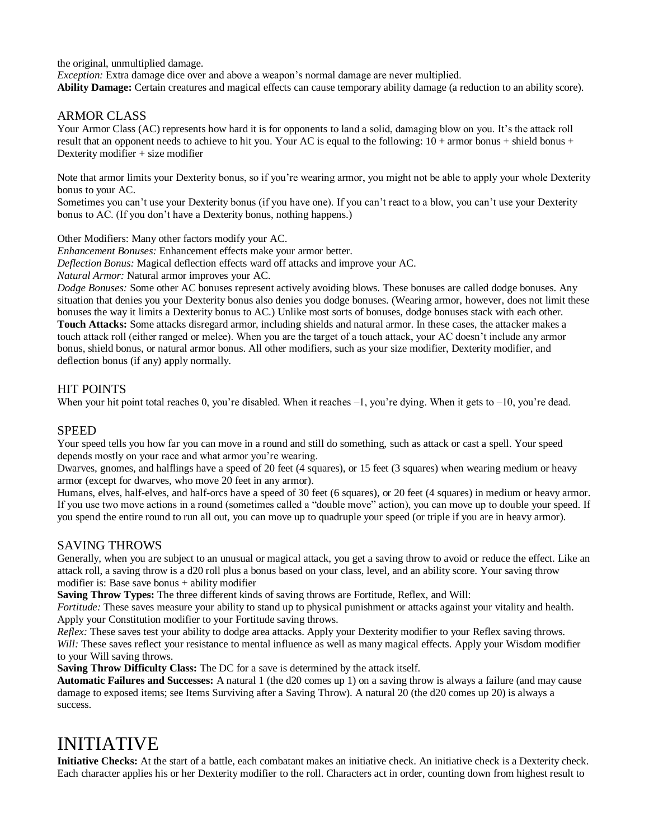the original, unmultiplied damage.

*Exception:* Extra damage dice over and above a weapon's normal damage are never multiplied. **Ability Damage:** Certain creatures and magical effects can cause temporary ability damage (a reduction to an ability score).

### ARMOR CLASS

Your Armor Class (AC) represents how hard it is for opponents to land a solid, damaging blow on you. It's the attack roll result that an opponent needs to achieve to hit you. Your AC is equal to the following:  $10 +$  armor bonus + shield bonus + Dexterity modifier + size modifier

Note that armor limits your Dexterity bonus, so if you're wearing armor, you might not be able to apply your whole Dexterity bonus to your AC.

Sometimes you can't use your Dexterity bonus (if you have one). If you can't react to a blow, you can't use your Dexterity bonus to AC. (If you don't have a Dexterity bonus, nothing happens.)

Other Modifiers: Many other factors modify your AC.

*Enhancement Bonuses:* Enhancement effects make your armor better.

*Deflection Bonus:* Magical deflection effects ward off attacks and improve your AC.

*Natural Armor:* Natural armor improves your AC.

*Dodge Bonuses:* Some other AC bonuses represent actively avoiding blows. These bonuses are called dodge bonuses. Any situation that denies you your Dexterity bonus also denies you dodge bonuses. (Wearing armor, however, does not limit these bonuses the way it limits a Dexterity bonus to AC.) Unlike most sorts of bonuses, dodge bonuses stack with each other. **Touch Attacks:** Some attacks disregard armor, including shields and natural armor. In these cases, the attacker makes a touch attack roll (either ranged or melee). When you are the target of a touch attack, your AC doesn't include any armor bonus, shield bonus, or natural armor bonus. All other modifiers, such as your size modifier, Dexterity modifier, and deflection bonus (if any) apply normally.

#### HIT POINTS

When your hit point total reaches 0, you're disabled. When it reaches  $-1$ , you're dying. When it gets to  $-10$ , you're dead.

#### SPEED

Your speed tells you how far you can move in a round and still do something, such as attack or cast a spell. Your speed depends mostly on your race and what armor you're wearing.

Dwarves, gnomes, and halflings have a speed of 20 feet (4 squares), or 15 feet (3 squares) when wearing medium or heavy armor (except for dwarves, who move 20 feet in any armor).

Humans, elves, half-elves, and half-orcs have a speed of 30 feet (6 squares), or 20 feet (4 squares) in medium or heavy armor. If you use two move actions in a round (sometimes called a "double move" action), you can move up to double your speed. If you spend the entire round to run all out, you can move up to quadruple your speed (or triple if you are in heavy armor).

#### SAVING THROWS

Generally, when you are subject to an unusual or magical attack, you get a saving throw to avoid or reduce the effect. Like an attack roll, a saving throw is a d20 roll plus a bonus based on your class, level, and an ability score. Your saving throw modifier is: Base save bonus + ability modifier

**Saving Throw Types:** The three different kinds of saving throws are Fortitude, Reflex, and Will:

*Fortitude:* These saves measure your ability to stand up to physical punishment or attacks against your vitality and health. Apply your Constitution modifier to your Fortitude saving throws.

*Reflex:* These saves test your ability to dodge area attacks. Apply your Dexterity modifier to your Reflex saving throws. *Will:* These saves reflect your resistance to mental influence as well as many magical effects. Apply your Wisdom modifier to your Will saving throws.

**Saving Throw Difficulty Class:** The DC for a save is determined by the attack itself.

**Automatic Failures and Successes:** A natural 1 (the d20 comes up 1) on a saving throw is always a failure (and may cause damage to exposed items; see Items Surviving after a Saving Throw). A natural 20 (the d20 comes up 20) is always a success.

## INITIATIVE

**Initiative Checks:** At the start of a battle, each combatant makes an initiative check. An initiative check is a Dexterity check. Each character applies his or her Dexterity modifier to the roll. Characters act in order, counting down from highest result to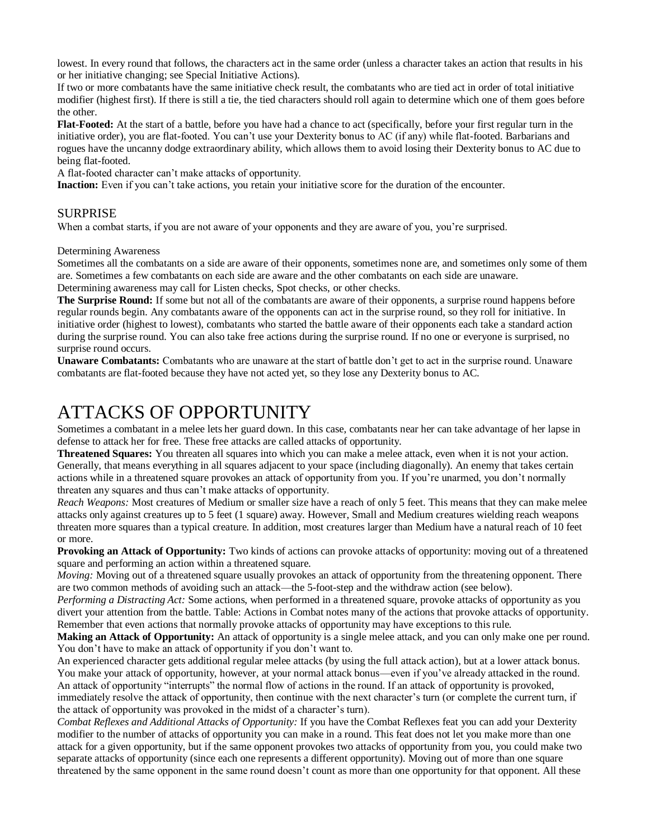lowest. In every round that follows, the characters act in the same order (unless a character takes an action that results in his or her initiative changing; see Special Initiative Actions).

If two or more combatants have the same initiative check result, the combatants who are tied act in order of total initiative modifier (highest first). If there is still a tie, the tied characters should roll again to determine which one of them goes before the other.

**Flat-Footed:** At the start of a battle, before you have had a chance to act (specifically, before your first regular turn in the initiative order), you are flat-footed. You can't use your Dexterity bonus to AC (if any) while flat-footed. Barbarians and rogues have the uncanny dodge extraordinary ability, which allows them to avoid losing their Dexterity bonus to AC due to being flat-footed.

A flat-footed character can't make attacks of opportunity.

**Inaction:** Even if you can't take actions, you retain your initiative score for the duration of the encounter.

#### SURPRISE

When a combat starts, if you are not aware of your opponents and they are aware of you, you're surprised.

#### Determining Awareness

Sometimes all the combatants on a side are aware of their opponents, sometimes none are, and sometimes only some of them are. Sometimes a few combatants on each side are aware and the other combatants on each side are unaware. Determining awareness may call for Listen checks, Spot checks, or other checks.

**The Surprise Round:** If some but not all of the combatants are aware of their opponents, a surprise round happens before regular rounds begin. Any combatants aware of the opponents can act in the surprise round, so they roll for initiative. In initiative order (highest to lowest), combatants who started the battle aware of their opponents each take a standard action during the surprise round. You can also take free actions during the surprise round. If no one or everyone is surprised, no surprise round occurs.

**Unaware Combatants:** Combatants who are unaware at the start of battle don't get to act in the surprise round. Unaware combatants are flat-footed because they have not acted yet, so they lose any Dexterity bonus to AC.

## ATTACKS OF OPPORTUNITY

Sometimes a combatant in a melee lets her guard down. In this case, combatants near her can take advantage of her lapse in defense to attack her for free. These free attacks are called attacks of opportunity.

**Threatened Squares:** You threaten all squares into which you can make a melee attack, even when it is not your action. Generally, that means everything in all squares adjacent to your space (including diagonally). An enemy that takes certain actions while in a threatened square provokes an attack of opportunity from you. If you're unarmed, you don't normally threaten any squares and thus can't make attacks of opportunity.

*Reach Weapons:* Most creatures of Medium or smaller size have a reach of only 5 feet. This means that they can make melee attacks only against creatures up to 5 feet (1 square) away. However, Small and Medium creatures wielding reach weapons threaten more squares than a typical creature. In addition, most creatures larger than Medium have a natural reach of 10 feet or more.

**Provoking an Attack of Opportunity:** Two kinds of actions can provoke attacks of opportunity: moving out of a threatened square and performing an action within a threatened square.

*Moving:* Moving out of a threatened square usually provokes an attack of opportunity from the threatening opponent. There are two common methods of avoiding such an attack—the 5-foot-step and the withdraw action (see below).

*Performing a Distracting Act:* Some actions, when performed in a threatened square, provoke attacks of opportunity as you divert your attention from the battle. Table: Actions in Combat notes many of the actions that provoke attacks of opportunity. Remember that even actions that normally provoke attacks of opportunity may have exceptions to this rule.

**Making an Attack of Opportunity:** An attack of opportunity is a single melee attack, and you can only make one per round. You don't have to make an attack of opportunity if you don't want to.

An experienced character gets additional regular melee attacks (by using the full attack action), but at a lower attack bonus. You make your attack of opportunity, however, at your normal attack bonus—even if you've already attacked in the round. An attack of opportunity "interrupts" the normal flow of actions in the round. If an attack of opportunity is provoked, immediately resolve the attack of opportunity, then continue with the next character's turn (or complete the current turn, if the attack of opportunity was provoked in the midst of a character's turn).

*Combat Reflexes and Additional Attacks of Opportunity:* If you have the Combat Reflexes feat you can add your Dexterity modifier to the number of attacks of opportunity you can make in a round. This feat does not let you make more than one attack for a given opportunity, but if the same opponent provokes two attacks of opportunity from you, you could make two separate attacks of opportunity (since each one represents a different opportunity). Moving out of more than one square threatened by the same opponent in the same round doesn't count as more than one opportunity for that opponent. All these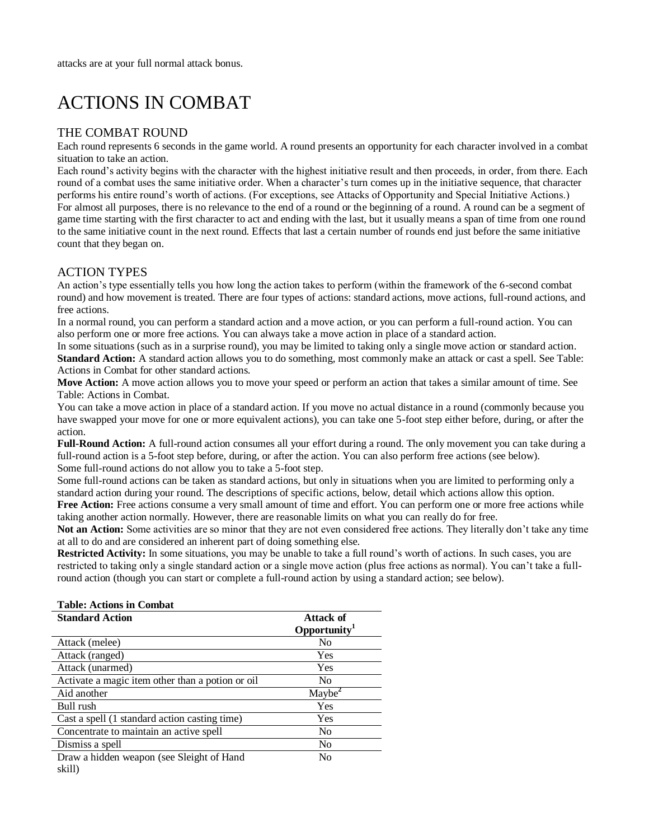# ACTIONS IN COMBAT

## THE COMBAT ROUND

Each round represents 6 seconds in the game world. A round presents an opportunity for each character involved in a combat situation to take an action.

Each round's activity begins with the character with the highest initiative result and then proceeds, in order, from there. Each round of a combat uses the same initiative order. When a character's turn comes up in the initiative sequence, that character performs his entire round's worth of actions. (For exceptions, see Attacks of Opportunity and Special Initiative Actions.) For almost all purposes, there is no relevance to the end of a round or the beginning of a round. A round can be a segment of game time starting with the first character to act and ending with the last, but it usually means a span of time from one round to the same initiative count in the next round. Effects that last a certain number of rounds end just before the same initiative count that they began on.

## ACTION TYPES

An action's type essentially tells you how long the action takes to perform (within the framework of the 6-second combat round) and how movement is treated. There are four types of actions: standard actions, move actions, full-round actions, and free actions.

In a normal round, you can perform a standard action and a move action, or you can perform a full-round action. You can also perform one or more free actions. You can always take a move action in place of a standard action.

In some situations (such as in a surprise round), you may be limited to taking only a single move action or standard action. **Standard Action:** A standard action allows you to do something, most commonly make an attack or cast a spell. See Table: Actions in Combat for other standard actions.

**Move Action:** A move action allows you to move your speed or perform an action that takes a similar amount of time. See Table: Actions in Combat.

You can take a move action in place of a standard action. If you move no actual distance in a round (commonly because you have swapped your move for one or more equivalent actions), you can take one 5-foot step either before, during, or after the action.

**Full-Round Action:** A full-round action consumes all your effort during a round. The only movement you can take during a full-round action is a 5-foot step before, during, or after the action. You can also perform free actions (see below). Some full-round actions do not allow you to take a 5-foot step.

Some full-round actions can be taken as standard actions, but only in situations when you are limited to performing only a standard action during your round. The descriptions of specific actions, below, detail which actions allow this option. Free Action: Free actions consume a very small amount of time and effort. You can perform one or more free actions while

taking another action normally. However, there are reasonable limits on what you can really do for free. **Not an Action:** Some activities are so minor that they are not even considered free actions. They literally don't take any time

at all to do and are considered an inherent part of doing something else.

**Restricted Activity:** In some situations, you may be unable to take a full round's worth of actions. In such cases, you are restricted to taking only a single standard action or a single move action (plus free actions as normal). You can't take a fullround action (though you can start or complete a full-round action by using a standard action; see below).

| <b>Table: Actions in Combat</b>                  |                          |
|--------------------------------------------------|--------------------------|
| <b>Standard Action</b>                           | Attack of                |
|                                                  | Opportunity <sup>1</sup> |
| Attack (melee)                                   | N <sub>0</sub>           |
| Attack (ranged)                                  | Yes                      |
| Attack (unarmed)                                 | Yes                      |
| Activate a magic item other than a potion or oil | N <sub>0</sub>           |
| Aid another                                      | Maybe <sup>2</sup>       |
| Bull rush                                        | Yes                      |
| Cast a spell (1 standard action casting time)    | Yes                      |
| Concentrate to maintain an active spell          | N <sub>0</sub>           |
| Dismiss a spell                                  | N <sub>0</sub>           |
| Draw a hidden weapon (see Sleight of Hand        | No                       |
| skill)                                           |                          |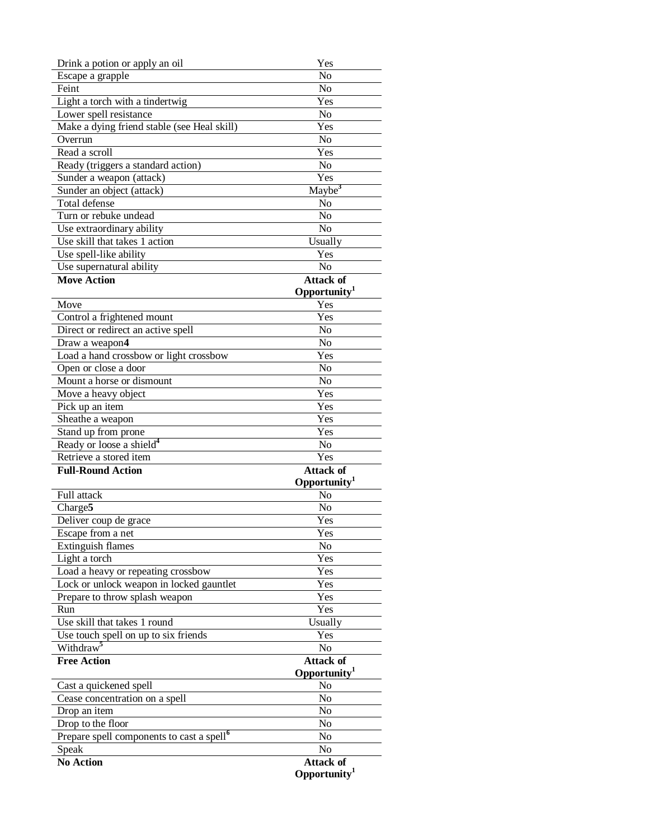| Drink a potion or apply an oil                        | Yes                                          |
|-------------------------------------------------------|----------------------------------------------|
| Escape a grapple                                      | N <sub>0</sub>                               |
| Feint                                                 | No                                           |
| Light a torch with a tindertwig                       | Yes                                          |
| Lower spell resistance                                | N <sub>o</sub>                               |
| Make a dying friend stable (see Heal skill)           | Yes                                          |
| Overrun                                               | N <sub>o</sub>                               |
| Read a scroll                                         | Yes                                          |
| Ready (triggers a standard action)                    | No                                           |
| Sunder a weapon (attack)                              | Yes                                          |
| Sunder an object (attack)                             | Maybe <sup>3</sup>                           |
| Total defense                                         | No                                           |
| Turn or rebuke undead                                 | $\overline{No}$                              |
| Use extraordinary ability                             | $\overline{No}$                              |
| Use skill that takes 1 action                         | Usually                                      |
| Use spell-like ability                                | Yes                                          |
| Use supernatural ability                              | $\overline{No}$                              |
| <b>Move Action</b>                                    | <b>Attack of</b>                             |
|                                                       | Opportunity <sup>1</sup>                     |
| Move                                                  | Yes                                          |
| Control a frightened mount                            | Yes                                          |
| Direct or redirect an active spell                    | N <sub>o</sub>                               |
| Draw a weapon4                                        | N <sub>o</sub>                               |
| Load a hand crossbow or light crossbow                | Yes                                          |
| Open or close a door                                  | N <sub>o</sub>                               |
| Mount a horse or dismount                             | N <sub>o</sub>                               |
| Move a heavy object                                   | Yes                                          |
| Pick up an item                                       | Yes                                          |
| Sheathe a weapon                                      | Yes                                          |
| Stand up from prone                                   | Yes                                          |
|                                                       |                                              |
| Ready or loose a shield <sup>4</sup>                  | No                                           |
| Retrieve a stored item                                | Yes                                          |
| <b>Full-Round Action</b>                              | <b>Attack of</b>                             |
|                                                       | Opportunity <sup>1</sup>                     |
| Full attack                                           | No                                           |
| Charge <sub>5</sub>                                   | No                                           |
| Deliver coup de grace                                 | Yes                                          |
| Escape from a net                                     | Yes                                          |
| Extinguish flames                                     | N <sub>0</sub>                               |
| Light a torch                                         | Yes                                          |
| Load a heavy or repeating crossbow                    | Yes                                          |
| Lock or unlock weapon in locked gauntlet              | Yes                                          |
| Prepare to throw splash weapon                        | Yes                                          |
| Run                                                   | Yes                                          |
| Use skill that takes 1 round                          | Usually                                      |
| Use touch spell on up to six friends                  | Yes                                          |
| Withdraw <sup>5</sup>                                 | No                                           |
| <b>Free Action</b>                                    | <b>Attack of</b>                             |
|                                                       | Opportunity <sup>1</sup>                     |
| Cast a quickened spell                                | No                                           |
| Cease concentration on a spell                        | No                                           |
| $\overline{D}$ rop an item                            | No                                           |
| Drop to the floor                                     | No                                           |
| Prepare spell components to cast a spell <sup>6</sup> | No                                           |
| Speak                                                 | No                                           |
| <b>No Action</b>                                      | <b>Attack of</b><br>Opportunity <sup>1</sup> |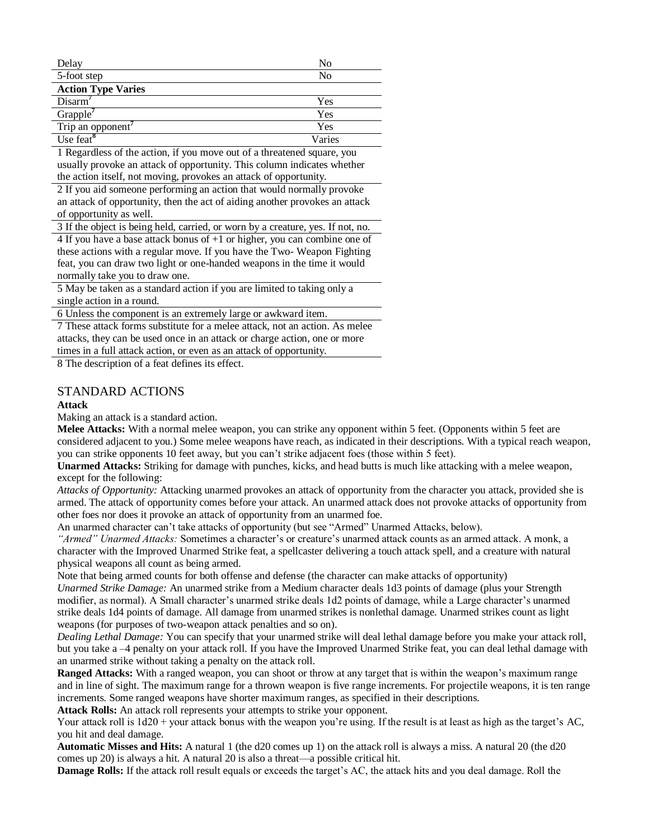| Delay                           | No     |
|---------------------------------|--------|
| 5-foot step                     | No     |
| <b>Action Type Varies</b>       |        |
| Disarm <sup>7</sup>             | Yes    |
| $\overline{Graph}$ <sup>7</sup> | Yes    |
| Trip an opponent'               | Yes    |
| Use feat $8$                    | Varies |

1 Regardless of the action, if you move out of a threatened square, you usually provoke an attack of opportunity. This column indicates whether the action itself, not moving, provokes an attack of opportunity.

2 If you aid someone performing an action that would normally provoke an attack of opportunity, then the act of aiding another provokes an attack of opportunity as well.

3 If the object is being held, carried, or worn by a creature, yes. If not, no.

4 If you have a base attack bonus of +1 or higher, you can combine one of these actions with a regular move. If you have the Two- Weapon Fighting feat, you can draw two light or one-handed weapons in the time it would normally take you to draw one.

5 May be taken as a standard action if you are limited to taking only a single action in a round.

6 Unless the component is an extremely large or awkward item.

7 These attack forms substitute for a melee attack, not an action. As melee attacks, they can be used once in an attack or charge action, one or more times in a full attack action, or even as an attack of opportunity.

8 The description of a feat defines its effect.

#### STANDARD ACTIONS

#### **Attack**

Making an attack is a standard action.

**Melee Attacks:** With a normal melee weapon, you can strike any opponent within 5 feet. (Opponents within 5 feet are considered adjacent to you.) Some melee weapons have reach, as indicated in their descriptions. With a typical reach weapon, you can strike opponents 10 feet away, but you can't strike adjacent foes (those within 5 feet).

**Unarmed Attacks:** Striking for damage with punches, kicks, and head butts is much like attacking with a melee weapon, except for the following:

*Attacks of Opportunity:* Attacking unarmed provokes an attack of opportunity from the character you attack, provided she is armed. The attack of opportunity comes before your attack. An unarmed attack does not provoke attacks of opportunity from other foes nor does it provoke an attack of opportunity from an unarmed foe.

An unarmed character can't take attacks of opportunity (but see "Armed" Unarmed Attacks, below).

*"Armed" Unarmed Attacks:* Sometimes a character's or creature's unarmed attack counts as an armed attack. A monk, a character with the Improved Unarmed Strike feat, a spellcaster delivering a touch attack spell, and a creature with natural physical weapons all count as being armed.

Note that being armed counts for both offense and defense (the character can make attacks of opportunity)

*Unarmed Strike Damage:* An unarmed strike from a Medium character deals 1d3 points of damage (plus your Strength modifier, as normal). A Small character's unarmed strike deals 1d2 points of damage, while a Large character's unarmed strike deals 1d4 points of damage. All damage from unarmed strikes is nonlethal damage. Unarmed strikes count as light weapons (for purposes of two-weapon attack penalties and so on).

*Dealing Lethal Damage:* You can specify that your unarmed strike will deal lethal damage before you make your attack roll, but you take a –4 penalty on your attack roll. If you have the Improved Unarmed Strike feat, you can deal lethal damage with an unarmed strike without taking a penalty on the attack roll.

**Ranged Attacks:** With a ranged weapon, you can shoot or throw at any target that is within the weapon's maximum range and in line of sight. The maximum range for a thrown weapon is five range increments. For projectile weapons, it is ten range increments. Some ranged weapons have shorter maximum ranges, as specified in their descriptions.

**Attack Rolls:** An attack roll represents your attempts to strike your opponent.

Your attack roll is  $1d20 +$  your attack bonus with the weapon you're using. If the result is at least as high as the target's AC, you hit and deal damage.

**Automatic Misses and Hits:** A natural 1 (the d20 comes up 1) on the attack roll is always a miss. A natural 20 (the d20 comes up 20) is always a hit. A natural 20 is also a threat—a possible critical hit.

**Damage Rolls:** If the attack roll result equals or exceeds the target's AC, the attack hits and you deal damage. Roll the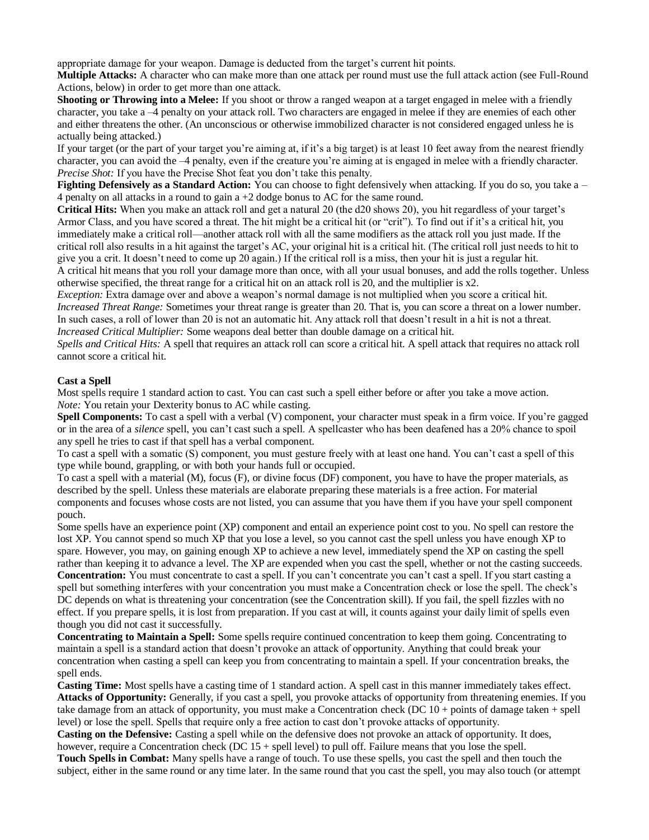appropriate damage for your weapon. Damage is deducted from the target's current hit points.

**Multiple Attacks:** A character who can make more than one attack per round must use the full attack action (see Full-Round Actions, below) in order to get more than one attack.

**Shooting or Throwing into a Melee:** If you shoot or throw a ranged weapon at a target engaged in melee with a friendly character, you take a –4 penalty on your attack roll. Two characters are engaged in melee if they are enemies of each other and either threatens the other. (An unconscious or otherwise immobilized character is not considered engaged unless he is actually being attacked.)

If your target (or the part of your target you're aiming at, if it's a big target) is at least 10 feet away from the nearest friendly character, you can avoid the –4 penalty, even if the creature you're aiming at is engaged in melee with a friendly character. *Precise Shot:* If you have the Precise Shot feat you don't take this penalty.

**Fighting Defensively as a Standard Action:** You can choose to fight defensively when attacking. If you do so, you take a – 4 penalty on all attacks in a round to gain a +2 dodge bonus to AC for the same round.

**Critical Hits:** When you make an attack roll and get a natural 20 (the d20 shows 20), you hit regardless of your target's Armor Class, and you have scored a threat. The hit might be a critical hit (or "crit"). To find out if it's a critical hit, you immediately make a critical roll—another attack roll with all the same modifiers as the attack roll you just made. If the critical roll also results in a hit against the target's AC, your original hit is a critical hit. (The critical roll just needs to hit to give you a crit. It doesn't need to come up 20 again.) If the critical roll is a miss, then your hit is just a regular hit. A critical hit means that you roll your damage more than once, with all your usual bonuses, and add the rolls together. Unless

otherwise specified, the threat range for a critical hit on an attack roll is 20, and the multiplier is x2.

*Exception:* Extra damage over and above a weapon's normal damage is not multiplied when you score a critical hit. *Increased Threat Range:* Sometimes your threat range is greater than 20. That is, you can score a threat on a lower number. In such cases, a roll of lower than 20 is not an automatic hit. Any attack roll that doesn't result in a hit is not a threat. *Increased Critical Multiplier:* Some weapons deal better than double damage on a critical hit.

*Spells and Critical Hits:* A spell that requires an attack roll can score a critical hit. A spell attack that requires no attack roll cannot score a critical hit.

#### **Cast a Spell**

Most spells require 1 standard action to cast. You can cast such a spell either before or after you take a move action. *Note:* You retain your Dexterity bonus to AC while casting.

**Spell Components:** To cast a spell with a verbal (V) component, your character must speak in a firm voice. If you're gagged or in the area of a *silence* spell, you can't cast such a spell. A spellcaster who has been deafened has a 20% chance to spoil any spell he tries to cast if that spell has a verbal component.

To cast a spell with a somatic (S) component, you must gesture freely with at least one hand. You can't cast a spell of this type while bound, grappling, or with both your hands full or occupied.

To cast a spell with a material (M), focus (F), or divine focus (DF) component, you have to have the proper materials, as described by the spell. Unless these materials are elaborate preparing these materials is a free action. For material components and focuses whose costs are not listed, you can assume that you have them if you have your spell component pouch.

Some spells have an experience point (XP) component and entail an experience point cost to you. No spell can restore the lost XP. You cannot spend so much XP that you lose a level, so you cannot cast the spell unless you have enough XP to spare. However, you may, on gaining enough XP to achieve a new level, immediately spend the XP on casting the spell rather than keeping it to advance a level. The XP are expended when you cast the spell, whether or not the casting succeeds. **Concentration:** You must concentrate to cast a spell. If you can't concentrate you can't cast a spell. If you start casting a spell but something interferes with your concentration you must make a Concentration check or lose the spell. The check's DC depends on what is threatening your concentration (see the Concentration skill). If you fail, the spell fizzles with no effect. If you prepare spells, it is lost from preparation. If you cast at will, it counts against your daily limit of spells even though you did not cast it successfully.

**Concentrating to Maintain a Spell:** Some spells require continued concentration to keep them going. Concentrating to maintain a spell is a standard action that doesn't provoke an attack of opportunity. Anything that could break your concentration when casting a spell can keep you from concentrating to maintain a spell. If your concentration breaks, the spell ends.

**Casting Time:** Most spells have a casting time of 1 standard action. A spell cast in this manner immediately takes effect. **Attacks of Opportunity:** Generally, if you cast a spell, you provoke attacks of opportunity from threatening enemies. If you take damage from an attack of opportunity, you must make a Concentration check (DC 10 + points of damage taken + spell level) or lose the spell. Spells that require only a free action to cast don't provoke attacks of opportunity.

**Casting on the Defensive:** Casting a spell while on the defensive does not provoke an attack of opportunity. It does, however, require a Concentration check (DC 15 + spell level) to pull off. Failure means that you lose the spell.

**Touch Spells in Combat:** Many spells have a range of touch. To use these spells, you cast the spell and then touch the subject, either in the same round or any time later. In the same round that you cast the spell, you may also touch (or attempt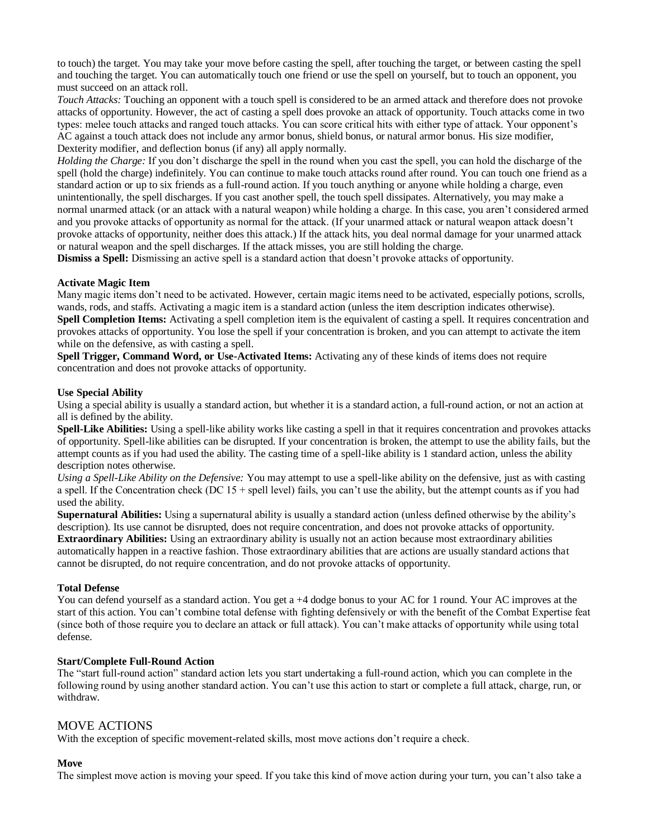to touch) the target. You may take your move before casting the spell, after touching the target, or between casting the spell and touching the target. You can automatically touch one friend or use the spell on yourself, but to touch an opponent, you must succeed on an attack roll.

*Touch Attacks:* Touching an opponent with a touch spell is considered to be an armed attack and therefore does not provoke attacks of opportunity. However, the act of casting a spell does provoke an attack of opportunity. Touch attacks come in two types: melee touch attacks and ranged touch attacks. You can score critical hits with either type of attack. Your opponent's AC against a touch attack does not include any armor bonus, shield bonus, or natural armor bonus. His size modifier, Dexterity modifier, and deflection bonus (if any) all apply normally.

*Holding the Charge:* If you don't discharge the spell in the round when you cast the spell, you can hold the discharge of the spell (hold the charge) indefinitely. You can continue to make touch attacks round after round. You can touch one friend as a standard action or up to six friends as a full-round action. If you touch anything or anyone while holding a charge, even unintentionally, the spell discharges. If you cast another spell, the touch spell dissipates. Alternatively, you may make a normal unarmed attack (or an attack with a natural weapon) while holding a charge. In this case, you aren't considered armed and you provoke attacks of opportunity as normal for the attack. (If your unarmed attack or natural weapon attack doesn't provoke attacks of opportunity, neither does this attack.) If the attack hits, you deal normal damage for your unarmed attack or natural weapon and the spell discharges. If the attack misses, you are still holding the charge.

**Dismiss a Spell:** Dismissing an active spell is a standard action that doesn't provoke attacks of opportunity.

#### **Activate Magic Item**

Many magic items don't need to be activated. However, certain magic items need to be activated, especially potions, scrolls, wands, rods, and staffs. Activating a magic item is a standard action (unless the item description indicates otherwise). **Spell Completion Items:** Activating a spell completion item is the equivalent of casting a spell. It requires concentration and provokes attacks of opportunity. You lose the spell if your concentration is broken, and you can attempt to activate the item while on the defensive, as with casting a spell.

**Spell Trigger, Command Word, or Use-Activated Items:** Activating any of these kinds of items does not require concentration and does not provoke attacks of opportunity.

#### **Use Special Ability**

Using a special ability is usually a standard action, but whether it is a standard action, a full-round action, or not an action at all is defined by the ability.

**Spell-Like Abilities:** Using a spell-like ability works like casting a spell in that it requires concentration and provokes attacks of opportunity. Spell-like abilities can be disrupted. If your concentration is broken, the attempt to use the ability fails, but the attempt counts as if you had used the ability. The casting time of a spell-like ability is 1 standard action, unless the ability description notes otherwise.

*Using a Spell-Like Ability on the Defensive:* You may attempt to use a spell-like ability on the defensive, just as with casting a spell. If the Concentration check (DC 15 + spell level) fails, you can't use the ability, but the attempt counts as if you had used the ability.

**Supernatural Abilities:** Using a supernatural ability is usually a standard action (unless defined otherwise by the ability's description). Its use cannot be disrupted, does not require concentration, and does not provoke attacks of opportunity. **Extraordinary Abilities:** Using an extraordinary ability is usually not an action because most extraordinary abilities automatically happen in a reactive fashion. Those extraordinary abilities that are actions are usually standard actions that cannot be disrupted, do not require concentration, and do not provoke attacks of opportunity.

#### **Total Defense**

You can defend yourself as a standard action. You get a +4 dodge bonus to your AC for 1 round. Your AC improves at the start of this action. You can't combine total defense with fighting defensively or with the benefit of the Combat Expertise feat (since both of those require you to declare an attack or full attack). You can't make attacks of opportunity while using total defense.

#### **Start/Complete Full-Round Action**

The "start full-round action" standard action lets you start undertaking a full-round action, which you can complete in the following round by using another standard action. You can't use this action to start or complete a full attack, charge, run, or withdraw.

#### MOVE ACTIONS

With the exception of specific movement-related skills, most move actions don't require a check.

#### **Move**

The simplest move action is moving your speed. If you take this kind of move action during your turn, you can't also take a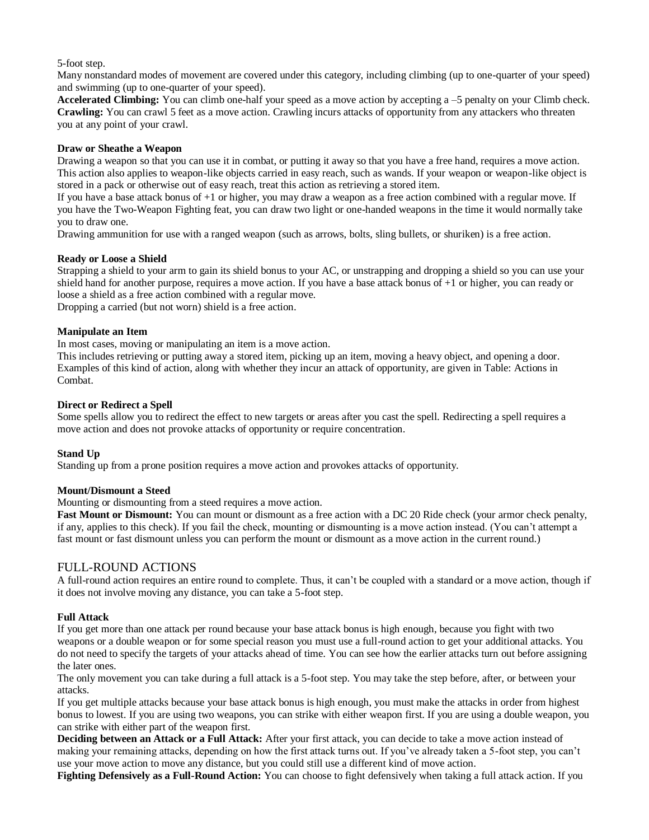#### 5-foot step.

Many nonstandard modes of movement are covered under this category, including climbing (up to one-quarter of your speed) and swimming (up to one-quarter of your speed).

**Accelerated Climbing:** You can climb one-half your speed as a move action by accepting a –5 penalty on your Climb check. **Crawling:** You can crawl 5 feet as a move action. Crawling incurs attacks of opportunity from any attackers who threaten you at any point of your crawl.

#### **Draw or Sheathe a Weapon**

Drawing a weapon so that you can use it in combat, or putting it away so that you have a free hand, requires a move action. This action also applies to weapon-like objects carried in easy reach, such as wands. If your weapon or weapon-like object is stored in a pack or otherwise out of easy reach, treat this action as retrieving a stored item.

If you have a base attack bonus of +1 or higher, you may draw a weapon as a free action combined with a regular move. If you have the Two-Weapon Fighting feat, you can draw two light or one-handed weapons in the time it would normally take you to draw one.

Drawing ammunition for use with a ranged weapon (such as arrows, bolts, sling bullets, or shuriken) is a free action.

#### **Ready or Loose a Shield**

Strapping a shield to your arm to gain its shield bonus to your AC, or unstrapping and dropping a shield so you can use your shield hand for another purpose, requires a move action. If you have a base attack bonus of +1 or higher, you can ready or loose a shield as a free action combined with a regular move.

Dropping a carried (but not worn) shield is a free action.

#### **Manipulate an Item**

In most cases, moving or manipulating an item is a move action.

This includes retrieving or putting away a stored item, picking up an item, moving a heavy object, and opening a door. Examples of this kind of action, along with whether they incur an attack of opportunity, are given in Table: Actions in Combat.

#### **Direct or Redirect a Spell**

Some spells allow you to redirect the effect to new targets or areas after you cast the spell. Redirecting a spell requires a move action and does not provoke attacks of opportunity or require concentration.

#### **Stand Up**

Standing up from a prone position requires a move action and provokes attacks of opportunity.

#### **Mount/Dismount a Steed**

Mounting or dismounting from a steed requires a move action.

**Fast Mount or Dismount:** You can mount or dismount as a free action with a DC 20 Ride check (your armor check penalty, if any, applies to this check). If you fail the check, mounting or dismounting is a move action instead. (You can't attempt a fast mount or fast dismount unless you can perform the mount or dismount as a move action in the current round.)

#### FULL-ROUND ACTIONS

A full-round action requires an entire round to complete. Thus, it can't be coupled with a standard or a move action, though if it does not involve moving any distance, you can take a 5-foot step.

#### **Full Attack**

If you get more than one attack per round because your base attack bonus is high enough, because you fight with two weapons or a double weapon or for some special reason you must use a full-round action to get your additional attacks. You do not need to specify the targets of your attacks ahead of time. You can see how the earlier attacks turn out before assigning the later ones.

The only movement you can take during a full attack is a 5-foot step. You may take the step before, after, or between your attacks.

If you get multiple attacks because your base attack bonus is high enough, you must make the attacks in order from highest bonus to lowest. If you are using two weapons, you can strike with either weapon first. If you are using a double weapon, you can strike with either part of the weapon first.

**Deciding between an Attack or a Full Attack:** After your first attack, you can decide to take a move action instead of making your remaining attacks, depending on how the first attack turns out. If you've already taken a 5-foot step, you can't use your move action to move any distance, but you could still use a different kind of move action.

**Fighting Defensively as a Full-Round Action:** You can choose to fight defensively when taking a full attack action. If you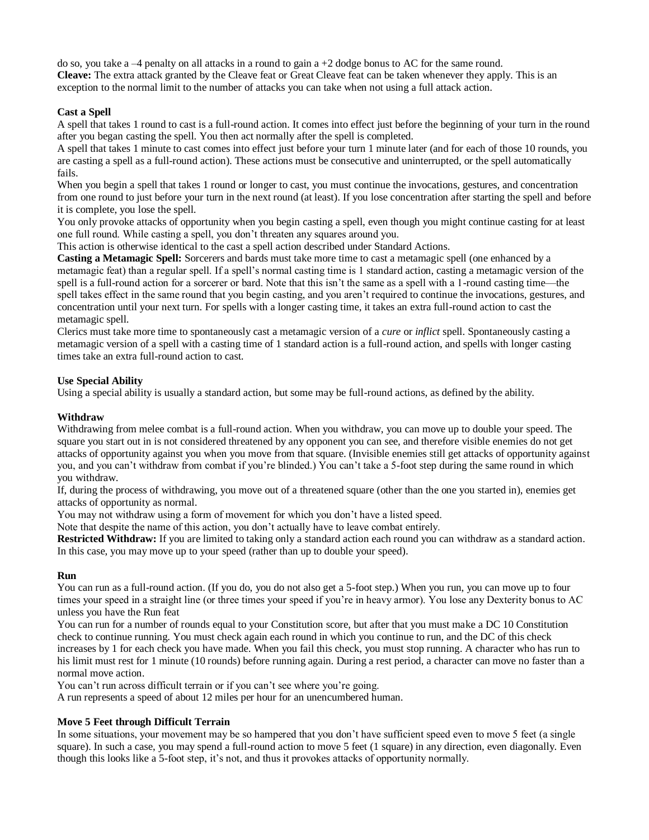do so, you take a  $-4$  penalty on all attacks in a round to gain a  $+2$  dodge bonus to AC for the same round. **Cleave:** The extra attack granted by the Cleave feat or Great Cleave feat can be taken whenever they apply. This is an exception to the normal limit to the number of attacks you can take when not using a full attack action.

#### **Cast a Spell**

A spell that takes 1 round to cast is a full-round action. It comes into effect just before the beginning of your turn in the round after you began casting the spell. You then act normally after the spell is completed.

A spell that takes 1 minute to cast comes into effect just before your turn 1 minute later (and for each of those 10 rounds, you are casting a spell as a full-round action). These actions must be consecutive and uninterrupted, or the spell automatically fails.

When you begin a spell that takes 1 round or longer to cast, you must continue the invocations, gestures, and concentration from one round to just before your turn in the next round (at least). If you lose concentration after starting the spell and before it is complete, you lose the spell.

You only provoke attacks of opportunity when you begin casting a spell, even though you might continue casting for at least one full round. While casting a spell, you don't threaten any squares around you.

This action is otherwise identical to the cast a spell action described under Standard Actions.

**Casting a Metamagic Spell:** Sorcerers and bards must take more time to cast a metamagic spell (one enhanced by a metamagic feat) than a regular spell. If a spell's normal casting time is 1 standard action, casting a metamagic version of the spell is a full-round action for a sorcerer or bard. Note that this isn't the same as a spell with a 1-round casting time—the spell takes effect in the same round that you begin casting, and you aren't required to continue the invocations, gestures, and concentration until your next turn. For spells with a longer casting time, it takes an extra full-round action to cast the metamagic spell.

Clerics must take more time to spontaneously cast a metamagic version of a *cure* or *inflict* spell. Spontaneously casting a metamagic version of a spell with a casting time of 1 standard action is a full-round action, and spells with longer casting times take an extra full-round action to cast.

#### **Use Special Ability**

Using a special ability is usually a standard action, but some may be full-round actions, as defined by the ability.

#### **Withdraw**

Withdrawing from melee combat is a full-round action. When you withdraw, you can move up to double your speed. The square you start out in is not considered threatened by any opponent you can see, and therefore visible enemies do not get attacks of opportunity against you when you move from that square. (Invisible enemies still get attacks of opportunity against you, and you can't withdraw from combat if you're blinded.) You can't take a 5-foot step during the same round in which you withdraw.

If, during the process of withdrawing, you move out of a threatened square (other than the one you started in), enemies get attacks of opportunity as normal.

You may not withdraw using a form of movement for which you don't have a listed speed.

Note that despite the name of this action, you don't actually have to leave combat entirely.

**Restricted Withdraw:** If you are limited to taking only a standard action each round you can withdraw as a standard action. In this case, you may move up to your speed (rather than up to double your speed).

#### **Run**

You can run as a full-round action. (If you do, you do not also get a 5-foot step.) When you run, you can move up to four times your speed in a straight line (or three times your speed if you're in heavy armor). You lose any Dexterity bonus to AC unless you have the Run feat

You can run for a number of rounds equal to your Constitution score, but after that you must make a DC 10 Constitution check to continue running. You must check again each round in which you continue to run, and the DC of this check increases by 1 for each check you have made. When you fail this check, you must stop running. A character who has run to his limit must rest for 1 minute (10 rounds) before running again. During a rest period, a character can move no faster than a normal move action.

You can't run across difficult terrain or if you can't see where you're going.

A run represents a speed of about 12 miles per hour for an unencumbered human.

#### **Move 5 Feet through Difficult Terrain**

In some situations, your movement may be so hampered that you don't have sufficient speed even to move 5 feet (a single square). In such a case, you may spend a full-round action to move 5 feet (1 square) in any direction, even diagonally. Even though this looks like a 5-foot step, it's not, and thus it provokes attacks of opportunity normally.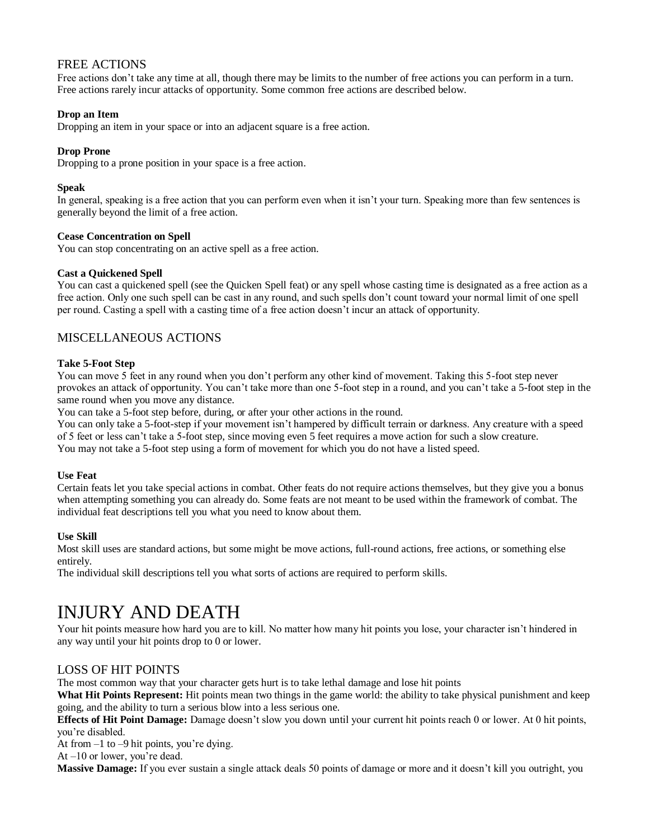## FREE ACTIONS

Free actions don't take any time at all, though there may be limits to the number of free actions you can perform in a turn. Free actions rarely incur attacks of opportunity. Some common free actions are described below.

#### **Drop an Item**

Dropping an item in your space or into an adjacent square is a free action.

#### **Drop Prone**

Dropping to a prone position in your space is a free action.

#### **Speak**

In general, speaking is a free action that you can perform even when it isn't your turn. Speaking more than few sentences is generally beyond the limit of a free action.

#### **Cease Concentration on Spell**

You can stop concentrating on an active spell as a free action.

#### **Cast a Quickened Spell**

You can cast a quickened spell (see the Quicken Spell feat) or any spell whose casting time is designated as a free action as a free action. Only one such spell can be cast in any round, and such spells don't count toward your normal limit of one spell per round. Casting a spell with a casting time of a free action doesn't incur an attack of opportunity.

### MISCELLANEOUS ACTIONS

#### **Take 5-Foot Step**

You can move 5 feet in any round when you don't perform any other kind of movement. Taking this 5-foot step never provokes an attack of opportunity. You can't take more than one 5-foot step in a round, and you can't take a 5-foot step in the same round when you move any distance.

You can take a 5-foot step before, during, or after your other actions in the round.

You can only take a 5-foot-step if your movement isn't hampered by difficult terrain or darkness. Any creature with a speed of 5 feet or less can't take a 5-foot step, since moving even 5 feet requires a move action for such a slow creature. You may not take a 5-foot step using a form of movement for which you do not have a listed speed.

#### **Use Feat**

Certain feats let you take special actions in combat. Other feats do not require actions themselves, but they give you a bonus when attempting something you can already do. Some feats are not meant to be used within the framework of combat. The individual feat descriptions tell you what you need to know about them.

#### **Use Skill**

Most skill uses are standard actions, but some might be move actions, full-round actions, free actions, or something else entirely.

The individual skill descriptions tell you what sorts of actions are required to perform skills.

## INJURY AND DEATH

Your hit points measure how hard you are to kill. No matter how many hit points you lose, your character isn't hindered in any way until your hit points drop to 0 or lower.

#### LOSS OF HIT POINTS

The most common way that your character gets hurt is to take lethal damage and lose hit points

**What Hit Points Represent:** Hit points mean two things in the game world: the ability to take physical punishment and keep going, and the ability to turn a serious blow into a less serious one.

**Effects of Hit Point Damage:** Damage doesn't slow you down until your current hit points reach 0 or lower. At 0 hit points, you're disabled.

At from –1 to –9 hit points, you're dying.

At –10 or lower, you're dead.

**Massive Damage:** If you ever sustain a single attack deals 50 points of damage or more and it doesn't kill you outright, you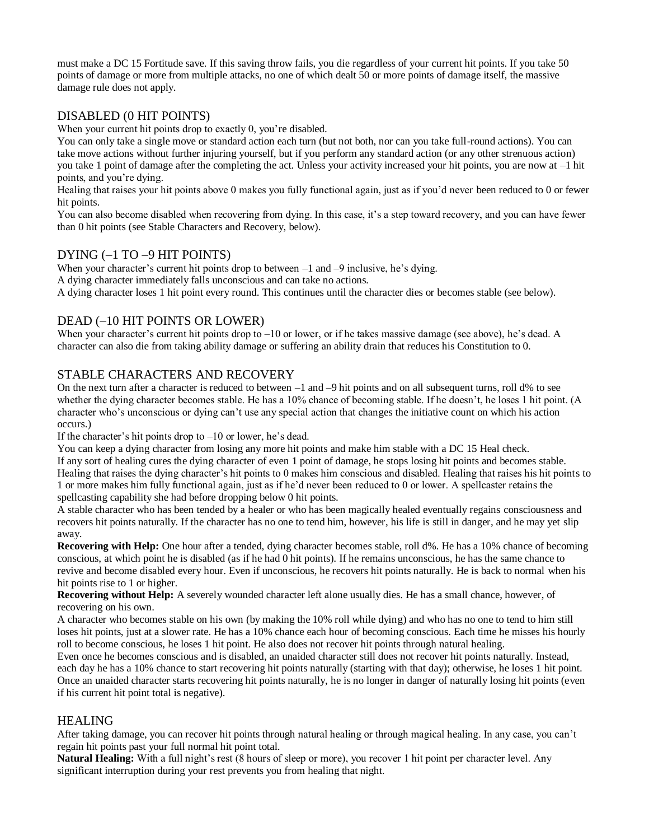must make a DC 15 Fortitude save. If this saving throw fails, you die regardless of your current hit points. If you take 50 points of damage or more from multiple attacks, no one of which dealt 50 or more points of damage itself, the massive damage rule does not apply.

## DISABLED (0 HIT POINTS)

When your current hit points drop to exactly 0, you're disabled.

You can only take a single move or standard action each turn (but not both, nor can you take full-round actions). You can take move actions without further injuring yourself, but if you perform any standard action (or any other strenuous action) you take 1 point of damage after the completing the act. Unless your activity increased your hit points, you are now at –1 hit points, and you're dying.

Healing that raises your hit points above 0 makes you fully functional again, just as if you'd never been reduced to 0 or fewer hit points.

You can also become disabled when recovering from dying. In this case, it's a step toward recovery, and you can have fewer than 0 hit points (see Stable Characters and Recovery, below).

#### DYING (–1 TO –9 HIT POINTS)

When your character's current hit points drop to between  $-1$  and  $-9$  inclusive, he's dying.

A dying character immediately falls unconscious and can take no actions.

A dying character loses 1 hit point every round. This continues until the character dies or becomes stable (see below).

#### DEAD (–10 HIT POINTS OR LOWER)

When your character's current hit points drop to –10 or lower, or if he takes massive damage (see above), he's dead. A character can also die from taking ability damage or suffering an ability drain that reduces his Constitution to 0.

### STABLE CHARACTERS AND RECOVERY

On the next turn after a character is reduced to between –1 and –9 hit points and on all subsequent turns, roll d% to see whether the dying character becomes stable. He has a 10% chance of becoming stable. If he doesn't, he loses 1 hit point. (A character who's unconscious or dying can't use any special action that changes the initiative count on which his action occurs.)

If the character's hit points drop to –10 or lower, he's dead.

You can keep a dying character from losing any more hit points and make him stable with a DC 15 Heal check.

If any sort of healing cures the dying character of even 1 point of damage, he stops losing hit points and becomes stable. Healing that raises the dying character's hit points to 0 makes him conscious and disabled. Healing that raises his hit points to 1 or more makes him fully functional again, just as if he'd never been reduced to 0 or lower. A spellcaster retains the spellcasting capability she had before dropping below 0 hit points.

A stable character who has been tended by a healer or who has been magically healed eventually regains consciousness and recovers hit points naturally. If the character has no one to tend him, however, his life is still in danger, and he may yet slip away.

**Recovering with Help:** One hour after a tended, dying character becomes stable, roll d%. He has a 10% chance of becoming conscious, at which point he is disabled (as if he had 0 hit points). If he remains unconscious, he has the same chance to revive and become disabled every hour. Even if unconscious, he recovers hit points naturally. He is back to normal when his hit points rise to 1 or higher.

**Recovering without Help:** A severely wounded character left alone usually dies. He has a small chance, however, of recovering on his own.

A character who becomes stable on his own (by making the 10% roll while dying) and who has no one to tend to him still loses hit points, just at a slower rate. He has a 10% chance each hour of becoming conscious. Each time he misses his hourly roll to become conscious, he loses 1 hit point. He also does not recover hit points through natural healing.

Even once he becomes conscious and is disabled, an unaided character still does not recover hit points naturally. Instead, each day he has a 10% chance to start recovering hit points naturally (starting with that day); otherwise, he loses 1 hit point. Once an unaided character starts recovering hit points naturally, he is no longer in danger of naturally losing hit points (even if his current hit point total is negative).

#### HEALING

After taking damage, you can recover hit points through natural healing or through magical healing. In any case, you can't regain hit points past your full normal hit point total.

**Natural Healing:** With a full night's rest (8 hours of sleep or more), you recover 1 hit point per character level. Any significant interruption during your rest prevents you from healing that night.